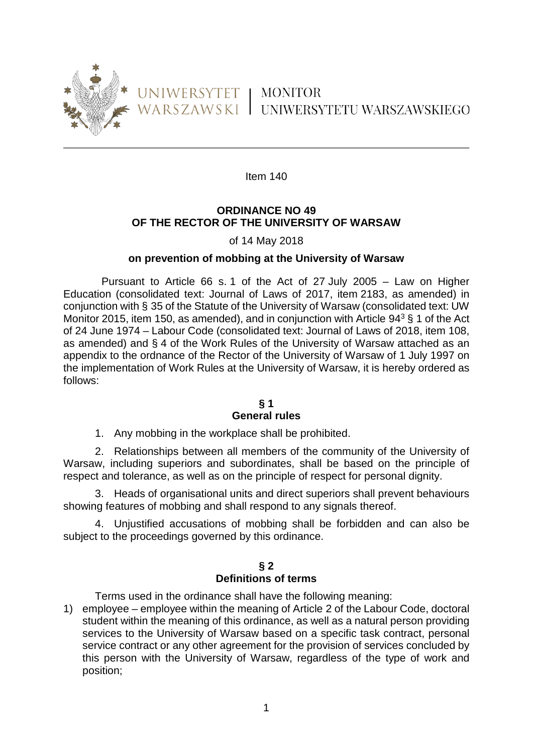

# UNIWERSYTET | MONITOR WARSZAWSKI UNIWERSYTETU WARSZAWSKIEGO

Item 140

# **ORDINANCE NO 49 OF THE RECTOR OF THE UNIVERSITY OF WARSAW**

# of 14 May 2018

# **on prevention of mobbing at the University of Warsaw**

Pursuant to Article 66 s. 1 of the Act of 27 July 2005 – Law on Higher Education (consolidated text: Journal of Laws of 2017, item 2183, as amended) in conjunction with § 35 of the Statute of the University of Warsaw (consolidated text: UW Monitor 2015, item 150, as amended), and in conjunction with Article  $94^3$  § 1 of the Act of 24 June 1974 – Labour Code (consolidated text: Journal of Laws of 2018, item 108, as amended) and § 4 of the Work Rules of the University of Warsaw attached as an appendix to the ordnance of the Rector of the University of Warsaw of 1 July 1997 on the implementation of Work Rules at the University of Warsaw, it is hereby ordered as follows:

#### **§ 1 General rules**

1. Any mobbing in the workplace shall be prohibited.

2. Relationships between all members of the community of the University of Warsaw, including superiors and subordinates, shall be based on the principle of respect and tolerance, as well as on the principle of respect for personal dignity.

3. Heads of organisational units and direct superiors shall prevent behaviours showing features of mobbing and shall respond to any signals thereof.

4. Unjustified accusations of mobbing shall be forbidden and can also be subject to the proceedings governed by this ordinance.

#### **§ 2 Definitions of terms**

Terms used in the ordinance shall have the following meaning:

1) employee – employee within the meaning of Article 2 of the Labour Code, doctoral student within the meaning of this ordinance, as well as a natural person providing services to the University of Warsaw based on a specific task contract, personal service contract or any other agreement for the provision of services concluded by this person with the University of Warsaw, regardless of the type of work and position;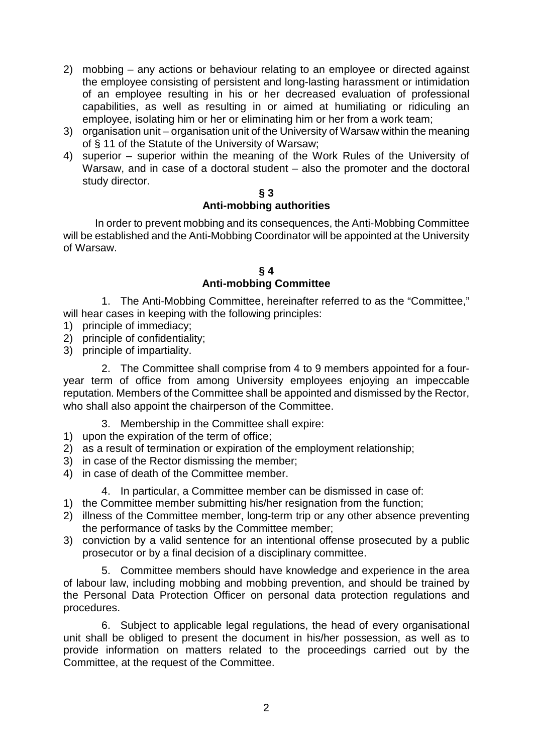- 2) mobbing any actions or behaviour relating to an employee or directed against the employee consisting of persistent and long-lasting harassment or intimidation of an employee resulting in his or her decreased evaluation of professional capabilities, as well as resulting in or aimed at humiliating or ridiculing an employee, isolating him or her or eliminating him or her from a work team;
- 3) organisation unit organisation unit of the University of Warsaw within the meaning of § 11 of the Statute of the University of Warsaw;
- 4) superior superior within the meaning of the Work Rules of the University of Warsaw, and in case of a doctoral student – also the promoter and the doctoral study director.

# **§ 3**

# **Anti-mobbing authorities**

In order to prevent mobbing and its consequences, the Anti-Mobbing Committee will be established and the Anti-Mobbing Coordinator will be appointed at the University of Warsaw.

# **§ 4 Anti-mobbing Committee**

1. The Anti-Mobbing Committee, hereinafter referred to as the "Committee," will hear cases in keeping with the following principles:

- 1) principle of immediacy;
- 2) principle of confidentiality:
- 3) principle of impartiality.

2. The Committee shall comprise from 4 to 9 members appointed for a fouryear term of office from among University employees enjoying an impeccable reputation. Members of the Committee shall be appointed and dismissed by the Rector, who shall also appoint the chairperson of the Committee.

- 3. Membership in the Committee shall expire:
- 1) upon the expiration of the term of office;
- 2) as a result of termination or expiration of the employment relationship;
- 3) in case of the Rector dismissing the member;
- 4) in case of death of the Committee member.

4. In particular, a Committee member can be dismissed in case of:

- 1) the Committee member submitting his/her resignation from the function;
- 2) illness of the Committee member, long-term trip or any other absence preventing the performance of tasks by the Committee member;
- 3) conviction by a valid sentence for an intentional offense prosecuted by a public prosecutor or by a final decision of a disciplinary committee.

5. Committee members should have knowledge and experience in the area of labour law, including mobbing and mobbing prevention, and should be trained by the Personal Data Protection Officer on personal data protection regulations and procedures.

6. Subject to applicable legal regulations, the head of every organisational unit shall be obliged to present the document in his/her possession, as well as to provide information on matters related to the proceedings carried out by the Committee, at the request of the Committee.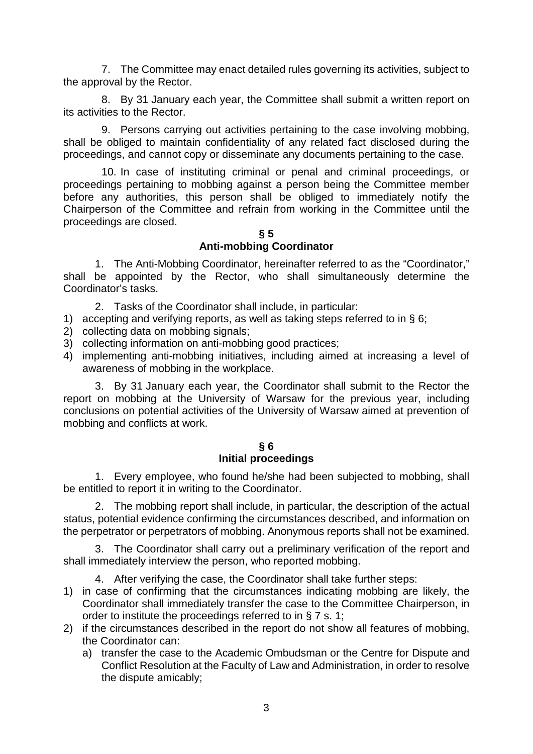7. The Committee may enact detailed rules governing its activities, subject to the approval by the Rector.

8. By 31 January each year, the Committee shall submit a written report on its activities to the Rector.

9. Persons carrying out activities pertaining to the case involving mobbing, shall be obliged to maintain confidentiality of any related fact disclosed during the proceedings, and cannot copy or disseminate any documents pertaining to the case.

10. In case of instituting criminal or penal and criminal proceedings, or proceedings pertaining to mobbing against a person being the Committee member before any authorities, this person shall be obliged to immediately notify the Chairperson of the Committee and refrain from working in the Committee until the proceedings are closed.

#### **§ 5 Anti-mobbing Coordinator**

1. The Anti-Mobbing Coordinator, hereinafter referred to as the "Coordinator," shall be appointed by the Rector, who shall simultaneously determine the Coordinator's tasks.

- 2. Tasks of the Coordinator shall include, in particular:
- 1) accepting and verifying reports, as well as taking steps referred to in § 6;
- 2) collecting data on mobbing signals;
- 3) collecting information on anti-mobbing good practices;
- 4) implementing anti-mobbing initiatives, including aimed at increasing a level of awareness of mobbing in the workplace.

3. By 31 January each year, the Coordinator shall submit to the Rector the report on mobbing at the University of Warsaw for the previous year, including conclusions on potential activities of the University of Warsaw aimed at prevention of mobbing and conflicts at work.

### **§ 6 Initial proceedings**

1. Every employee, who found he/she had been subjected to mobbing, shall be entitled to report it in writing to the Coordinator.

2. The mobbing report shall include, in particular, the description of the actual status, potential evidence confirming the circumstances described, and information on the perpetrator or perpetrators of mobbing. Anonymous reports shall not be examined.

3. The Coordinator shall carry out a preliminary verification of the report and shall immediately interview the person, who reported mobbing.

- 4. After verifying the case, the Coordinator shall take further steps:
- 1) in case of confirming that the circumstances indicating mobbing are likely, the Coordinator shall immediately transfer the case to the Committee Chairperson, in order to institute the proceedings referred to in § 7 s. 1;
- 2) if the circumstances described in the report do not show all features of mobbing, the Coordinator can:
	- a) transfer the case to the Academic Ombudsman or the Centre for Dispute and Conflict Resolution at the Faculty of Law and Administration, in order to resolve the dispute amicably;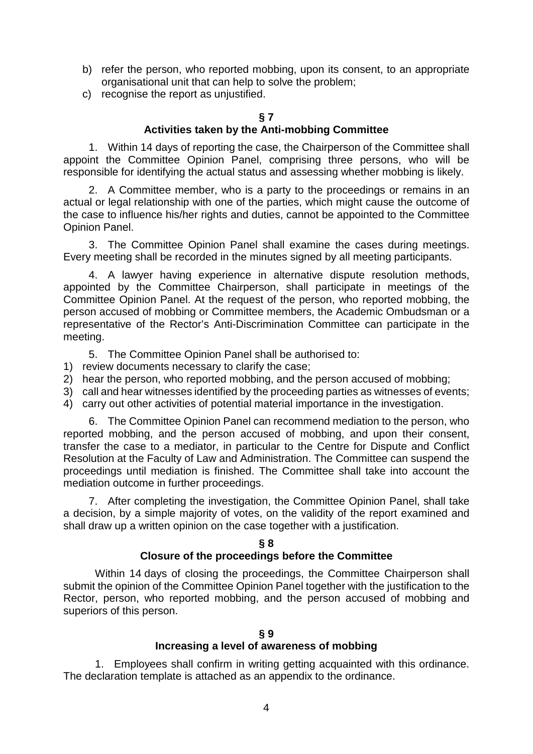- b) refer the person, who reported mobbing, upon its consent, to an appropriate organisational unit that can help to solve the problem;
- c) recognise the report as unjustified.

# **§ 7**

# **Activities taken by the Anti-mobbing Committee**

1. Within 14 days of reporting the case, the Chairperson of the Committee shall appoint the Committee Opinion Panel, comprising three persons, who will be responsible for identifying the actual status and assessing whether mobbing is likely.

2. A Committee member, who is a party to the proceedings or remains in an actual or legal relationship with one of the parties, which might cause the outcome of the case to influence his/her rights and duties, cannot be appointed to the Committee Opinion Panel.

3. The Committee Opinion Panel shall examine the cases during meetings. Every meeting shall be recorded in the minutes signed by all meeting participants.

4. A lawyer having experience in alternative dispute resolution methods, appointed by the Committee Chairperson, shall participate in meetings of the Committee Opinion Panel. At the request of the person, who reported mobbing, the person accused of mobbing or Committee members, the Academic Ombudsman or a representative of the Rector's Anti-Discrimination Committee can participate in the meeting.

5. The Committee Opinion Panel shall be authorised to:

- 1) review documents necessary to clarify the case;
- 2) hear the person, who reported mobbing, and the person accused of mobbing;
- 3) call and hear witnesses identified by the proceeding parties as witnesses of events;
- 4) carry out other activities of potential material importance in the investigation.

6. The Committee Opinion Panel can recommend mediation to the person, who reported mobbing, and the person accused of mobbing, and upon their consent, transfer the case to a mediator, in particular to the Centre for Dispute and Conflict Resolution at the Faculty of Law and Administration. The Committee can suspend the proceedings until mediation is finished. The Committee shall take into account the mediation outcome in further proceedings.

7. After completing the investigation, the Committee Opinion Panel, shall take a decision, by a simple majority of votes, on the validity of the report examined and shall draw up a written opinion on the case together with a justification.

#### **§ 8 Closure of the proceedings before the Committee**

Within 14 days of closing the proceedings, the Committee Chairperson shall submit the opinion of the Committee Opinion Panel together with the justification to the Rector, person, who reported mobbing, and the person accused of mobbing and superiors of this person.

### **§ 9**

### **Increasing a level of awareness of mobbing**

1. Employees shall confirm in writing getting acquainted with this ordinance. The declaration template is attached as an appendix to the ordinance.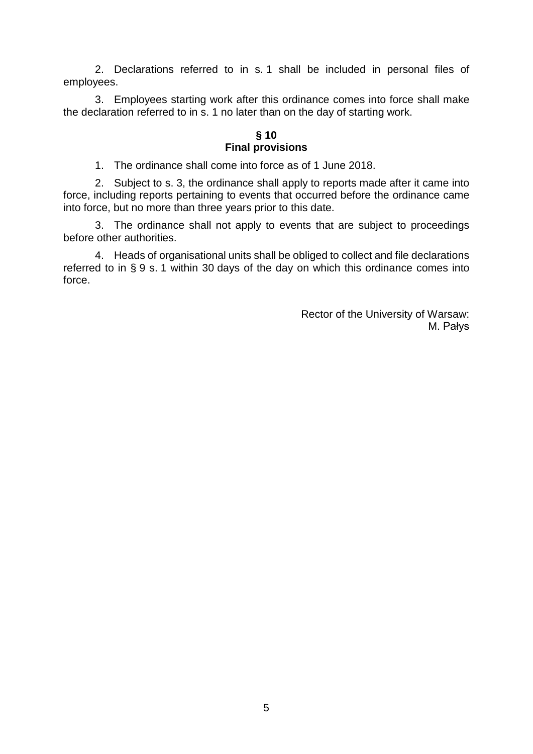2. Declarations referred to in s. 1 shall be included in personal files of employees.

3. Employees starting work after this ordinance comes into force shall make the declaration referred to in s. 1 no later than on the day of starting work.

#### **§ 10 Final provisions**

1. The ordinance shall come into force as of 1 June 2018.

2. Subject to s. 3, the ordinance shall apply to reports made after it came into force, including reports pertaining to events that occurred before the ordinance came into force, but no more than three years prior to this date.

3. The ordinance shall not apply to events that are subject to proceedings before other authorities.

4. Heads of organisational units shall be obliged to collect and file declarations referred to in § 9 s. 1 within 30 days of the day on which this ordinance comes into force.

> Rector of the University of Warsaw: M. Pałys